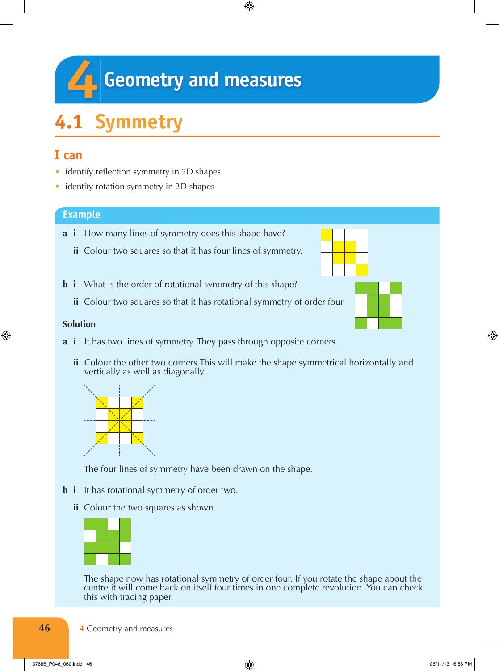# **44** Geometry and measures

 $\bigoplus$ 

## **4.1 Symmetry**

## **I can**

- identify reflection symmetry in 2D shapes
- identify rotation symmetry in 2D shapes

#### **Example**

- **a i** How many lines of symmetry does this shape have?
	- **ii** Colour two squares so that it has four lines of symmetry.
- **b i** What is the order of rotational symmetry of this shape?
	- **ii** Colour two squares so that it has rotational symmetry of order four.

#### **Solution**

◈

- **a i** It has two lines of symmetry. They pass through opposite corners.
	- **ii** Colour the other two corners.This will make the shape symmetrical horizontally and vertically as well as diagonally.



The four lines of symmetry have been drawn on the shape.

- **b i** It has rotational symmetry of order two.
	- **ii** Colour the two squares as shown.

The shape now has rotational symmetry of order four. If you rotate the shape about the centre it will come back on itself four times in one complete revolution. You can check this with tracing paper.

**4** Geometry and measures

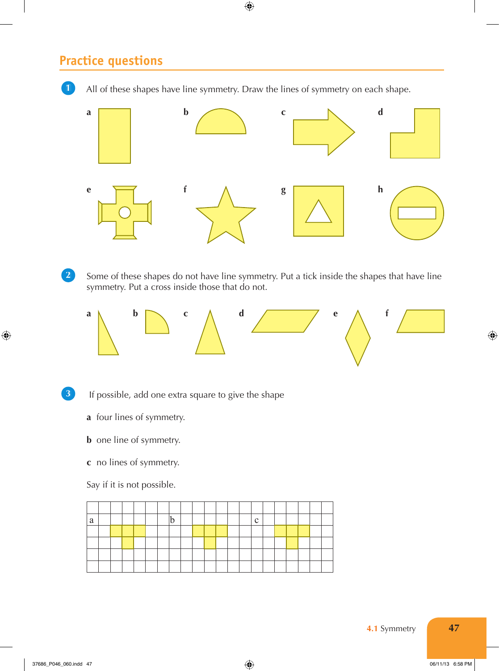## **Practice questions**



 $\bigoplus$ 

**4.1** Symmetry **47**

 $\bigoplus$ 

 $\bigcirc$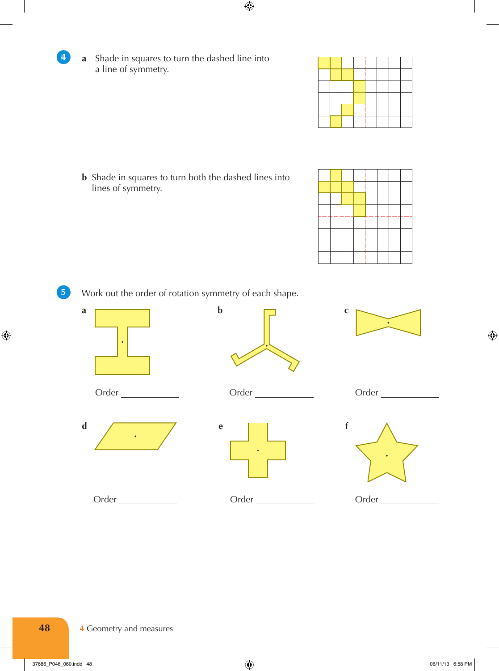

|  |  | $\sim$ |  |  |
|--|--|--------|--|--|
|  |  |        |  |  |
|  |  |        |  |  |
|  |  |        |  |  |
|  |  |        |  |  |
|  |  |        |  |  |

**b** Shade in squares to turn both the dashed lines into lines of symmetry.

|  | $\overline{\phantom{0}}$ |   | -- |    | — — |  |
|--|--------------------------|---|----|----|-----|--|
|  |                          | _ | -  | -- |     |  |
|  |                          |   |    | -- |     |  |
|  |                          |   |    |    |     |  |

 $\overline{5}$ 

 $\bigoplus$ 

4

**5** Work out the order of rotation symmetry of each shape.



 $\bigcirc$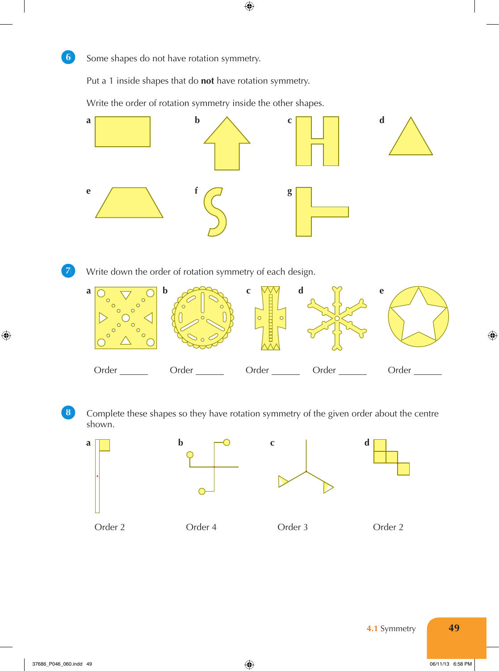

Put a 1 inside shapes that do **not** have rotation symmetry.

Write the order of rotation symmetry inside the other shapes.



 $\bigoplus$ 

8 **Complete these shapes so they have rotation symmetry of the given order about the centre** shown.



**4.1** Symmetry **49** 

 $\bigoplus$ 

⊕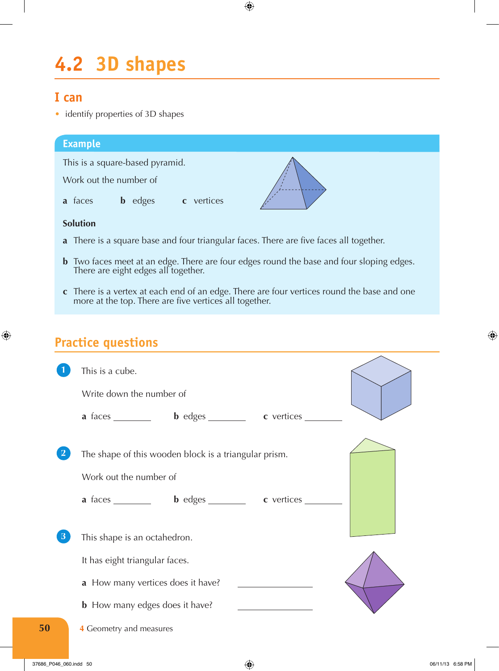## **4.2 3D shapes**

### **I can**

• identify properties of 3D shapes

#### **Example**

This is a square-based pyramid.

Work out the number of

**a** faces **b** edges **c** vertices

#### **Solution**

 $\bigoplus$ 

- **a** There is a square base and four triangular faces. There are five faces all together.
- **b** Two faces meet at an edge. There are four edges round the base and four sloping edges. There are eight edges all together.

 $\bigoplus$ 

**c** There is a vertex at each end of an edge. There are four vertices round the base and one more at the top. There are five vertices all together.

## **Practice questions**

|    | This is a cube.                                                                                                                          |
|----|------------------------------------------------------------------------------------------------------------------------------------------|
|    | Write down the number of                                                                                                                 |
|    | a faces bedges cvertices                                                                                                                 |
|    | The shape of this wooden block is a triangular prism.<br>Work out the number of<br>a faces _________ b edges ________ c vertices _______ |
| 3  | This shape is an octahedron.                                                                                                             |
|    | It has eight triangular faces.                                                                                                           |
|    | a How many vertices does it have?                                                                                                        |
|    | <b>b</b> How many edges does it have?                                                                                                    |
| 50 | 4 Geometry and measures                                                                                                                  |
|    |                                                                                                                                          |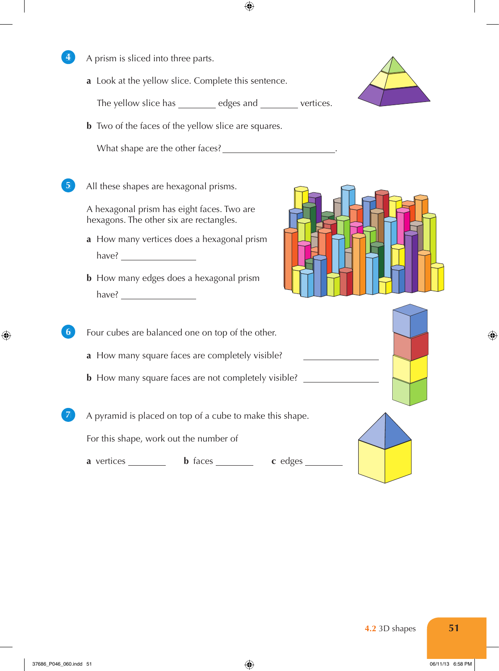

◈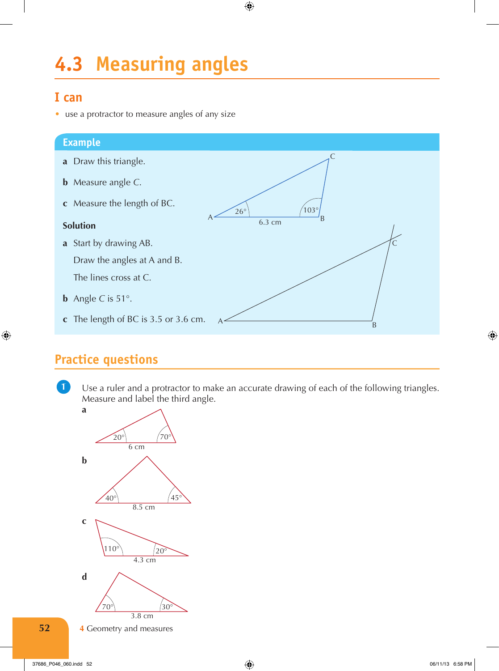# **4.3 Measuring angles**

## **I can**

• use a protractor to measure angles of any size

#### **Example**

- **a** Draw this triangle.
- **b** Measure angle *C*.
- **c** Measure the length of BC.

#### **Solution**

 $\bigoplus$ 

- **a** Start by drawing AB. Draw the angles at A and B. The lines cross at C.
- **b** Angle C is  $51^\circ$ .
- **c** The length of BC is 3.5 or 3.6 cm.

# **Practice questions**

**1** Use a ruler and a protractor to make an accurate drawing of each of the following triangles. Measure and label the third angle.  $\mathbf{1}$ 

26°

 $\bigoplus$ 

 $A \longrightarrow B$ 

 $103^\circ$ 

 $A \sim B$ 

 $\mathsf{C}$ 

 $\mathsf{C}$ 

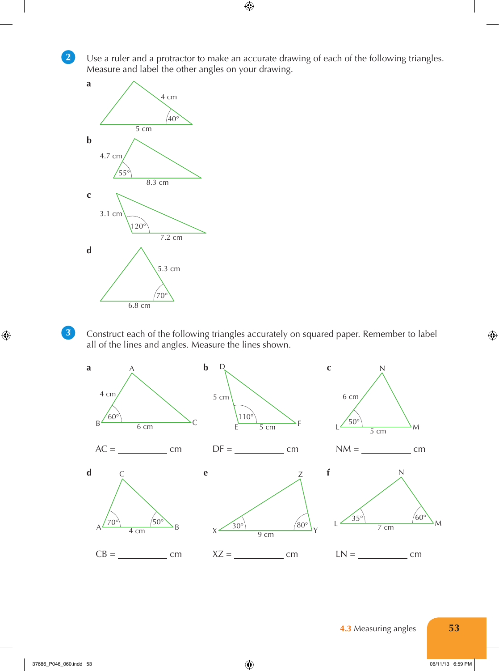2

3

 $\bigoplus$ 

**2** Use a ruler and a protractor to make an accurate drawing of each of the following triangles. Measure and label the other angles on your drawing.

 $\bigoplus$ 



**3** Construct each of the following triangles accurately on squared paper. Remember to label all of the lines and angles. Measure the lines shown.

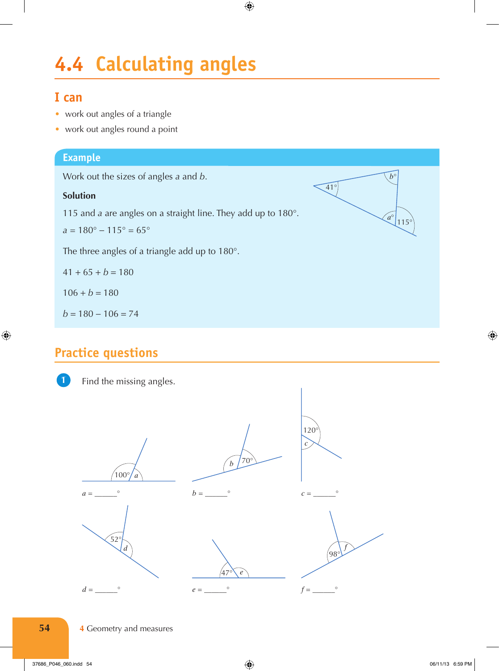# **4.4 Calculating angles**

 $\bigoplus$ 

## **I can**

- work out angles of a triangle
- work out angles round a point

### **Example**

Work out the sizes of angles *a* and *b*.

#### **Solution**

115 and *a* are angles on a straight line. They add up to 180°.

41°

 $a^\circ$  115°

*b*°

 $a = 180^{\circ} - 115^{\circ} = 65^{\circ}$ 

The three angles of a triangle add up to 180°.

$$
41 + 65 + b = 180
$$

 $106 + b = 180$ 

 $b = 180 - 106 = 74$ 

## **Practice questions**



⊕

Find the missing angles.



**54 4 Geometry and measures**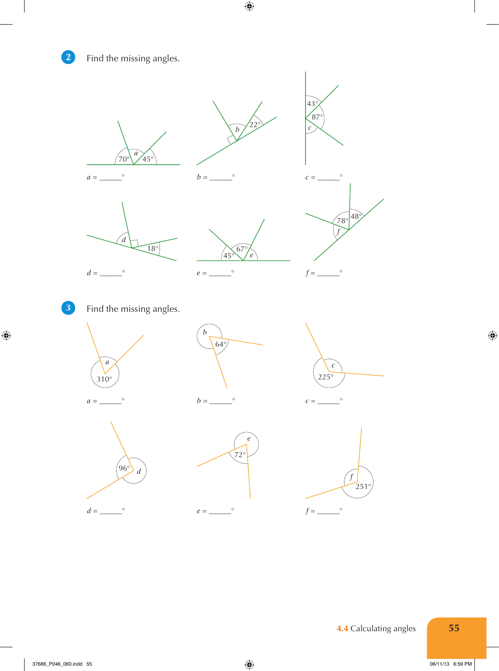

**2** Find the missing angles.



 $\bigoplus$ 









 $\bigoplus$ 

**3** Find the missing angles.











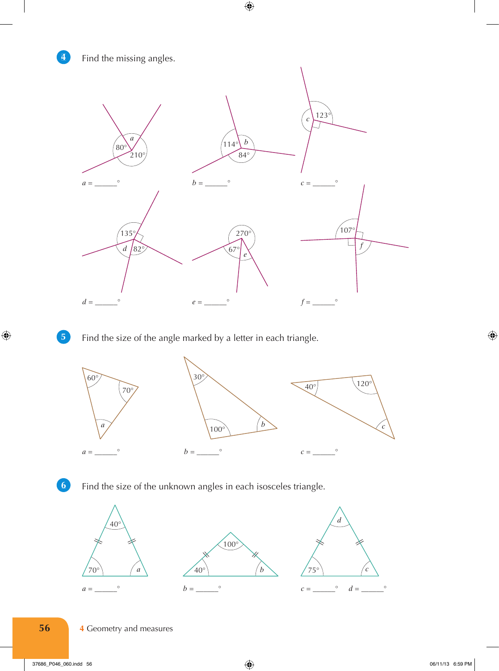#### $\overline{4}$

**4** Find the missing angles.



 $\bigoplus$ 

 $\vert 5 \vert$ 

 $\bigcirc$ 

**5** Find the size of the angle marked by a letter in each triangle.





 $\boldsymbol{6}$ 

Find the size of the unknown angles in each isosceles triangle.





*d*

**56 4** Geometry and measures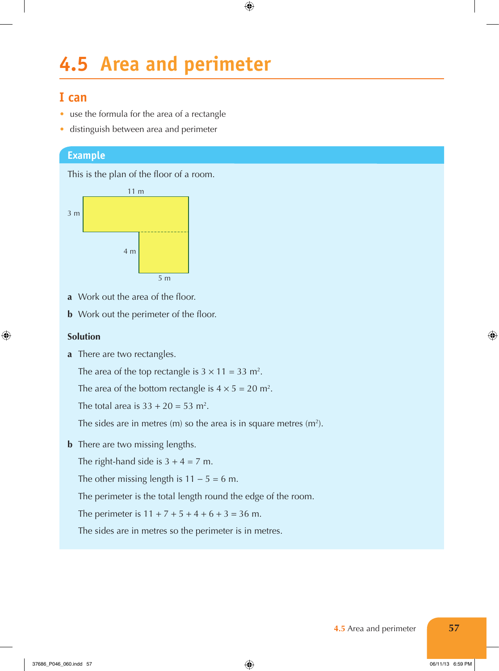## **4.5 Area and perimeter**

 $\bigoplus$ 

### **I can**

- use the formula for the area of a rectangle
- distinguish between area and perimeter

#### **Example**

This is the plan of the floor of a room.



- **a** Work out the area of the floor.
- **b** Work out the perimeter of the floor.

#### **Solution**

◈

**a** There are two rectangles.

The area of the top rectangle is  $3 \times 11 = 33$  m<sup>2</sup>.

The area of the bottom rectangle is  $4 \times 5 = 20$  m<sup>2</sup>.

The total area is  $33 + 20 = 53$  m<sup>2</sup>.

The sides are in metres  $(m)$  so the area is in square metres  $(m<sup>2</sup>)$ .

**b** There are two missing lengths.

The right-hand side is  $3 + 4 = 7$  m.

The other missing length is  $11 - 5 = 6$  m.

The perimeter is the total length round the edge of the room.

The perimeter is  $11 + 7 + 5 + 4 + 6 + 3 = 36$  m.

The sides are in metres so the perimeter is in metres.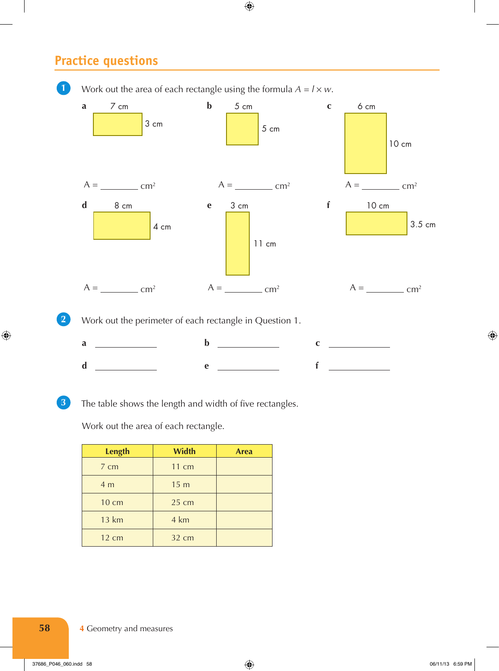## **Practice questions**



 $\bigoplus$ 



⊕

**3** The table shows the length and width of five rectangles.

Work out the area of each rectangle.

| <b>Length</b>   | <b>Width</b>    | <b>Area</b> |
|-----------------|-----------------|-------------|
| $7 \text{ cm}$  | $11 \text{ cm}$ |             |
| 4 <sub>m</sub>  | 15 <sub>m</sub> |             |
| $10 \text{ cm}$ | $25 \text{ cm}$ |             |
| <b>13 km</b>    | 4 km            |             |
| 12 cm           | $32 \text{ cm}$ |             |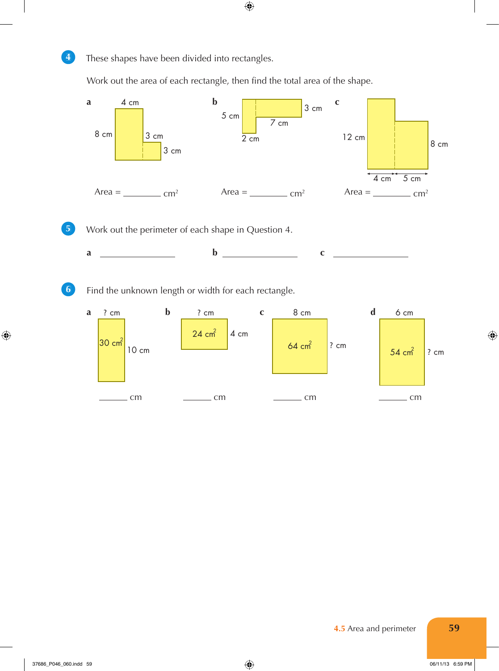

◈